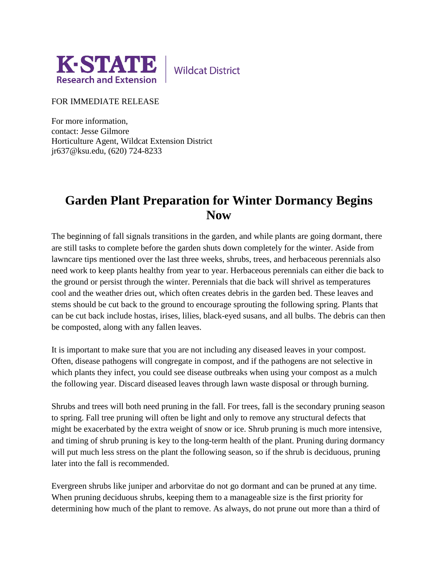

**Wildcat District** 

FOR IMMEDIATE RELEASE

For more information, contact: Jesse Gilmore Horticulture Agent, Wildcat Extension District jr637@ksu.edu, (620) 724-8233

## **Garden Plant Preparation for Winter Dormancy Begins Now**

The beginning of fall signals transitions in the garden, and while plants are going dormant, there are still tasks to complete before the garden shuts down completely for the winter. Aside from lawncare tips mentioned over the last three weeks, shrubs, trees, and herbaceous perennials also need work to keep plants healthy from year to year. Herbaceous perennials can either die back to the ground or persist through the winter. Perennials that die back will shrivel as temperatures cool and the weather dries out, which often creates debris in the garden bed. These leaves and stems should be cut back to the ground to encourage sprouting the following spring. Plants that can be cut back include hostas, irises, lilies, black-eyed susans, and all bulbs. The debris can then be composted, along with any fallen leaves.

It is important to make sure that you are not including any diseased leaves in your compost. Often, disease pathogens will congregate in compost, and if the pathogens are not selective in which plants they infect, you could see disease outbreaks when using your compost as a mulch the following year. Discard diseased leaves through lawn waste disposal or through burning.

Shrubs and trees will both need pruning in the fall. For trees, fall is the secondary pruning season to spring. Fall tree pruning will often be light and only to remove any structural defects that might be exacerbated by the extra weight of snow or ice. Shrub pruning is much more intensive, and timing of shrub pruning is key to the long-term health of the plant. Pruning during dormancy will put much less stress on the plant the following season, so if the shrub is deciduous, pruning later into the fall is recommended.

Evergreen shrubs like juniper and arborvitae do not go dormant and can be pruned at any time. When pruning deciduous shrubs, keeping them to a manageable size is the first priority for determining how much of the plant to remove. As always, do not prune out more than a third of